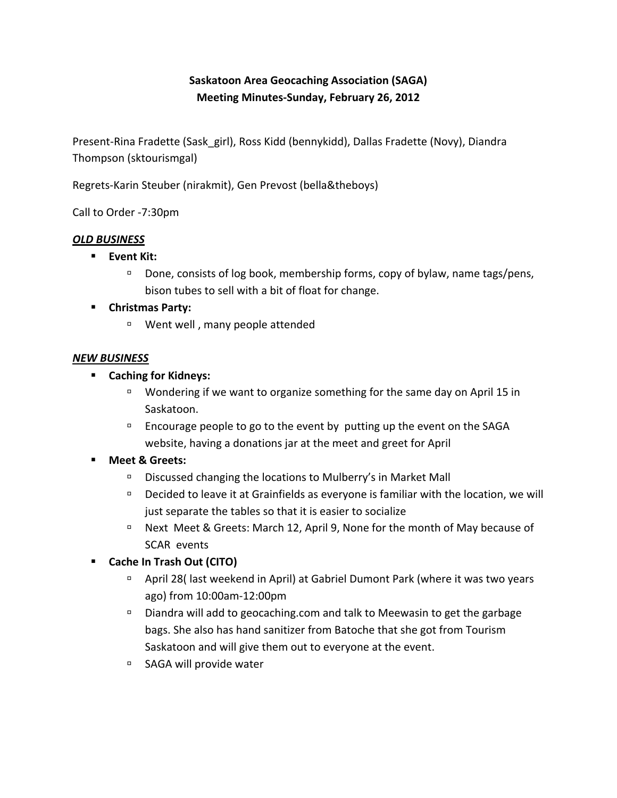# **Saskatoon Area Geocaching Association (SAGA) Meeting Minutes-Sunday, February 26, 2012**

Present-Rina Fradette (Sask\_girl), Ross Kidd (bennykidd), Dallas Fradette (Novy), Diandra Thompson (sktourismgal)

Regrets-Karin Steuber (nirakmit), Gen Prevost (bella&theboys)

Call to Order -7:30pm

# *OLD BUSINESS*

- **Event Kit:** 
	- $\Box$  Done, consists of log book, membership forms, copy of bylaw, name tags/pens, bison tubes to sell with a bit of float for change.

# **E** Christmas Party:

□ Went well, many people attended

#### *NEW BUSINESS*

- **E** Caching for Kidneys:
	- $\Box$  Wondering if we want to organize something for the same day on April 15 in Saskatoon.
	- $\Box$  Encourage people to go to the event by putting up the event on the SAGA website, having a donations jar at the meet and greet for April

# **Meet & Greets:**

- $\Box$  Discussed changing the locations to Mulberry's in Market Mall
- $D$  Decided to leave it at Grainfields as everyone is familiar with the location, we will just separate the tables so that it is easier to socialize
- $P$  Next Meet & Greets: March 12, April 9, None for the month of May because of SCAR events
- **E** Cache In Trash Out (CITO)
	- $\Box$  April 28( last weekend in April) at Gabriel Dumont Park (where it was two years ago) from 10:00am-12:00pm
	- □ Diandra will add to geocaching.com and talk to Meewasin to get the garbage bags. She also has hand sanitizer from Batoche that she got from Tourism Saskatoon and will give them out to everyone at the event.
	- □ SAGA will provide water